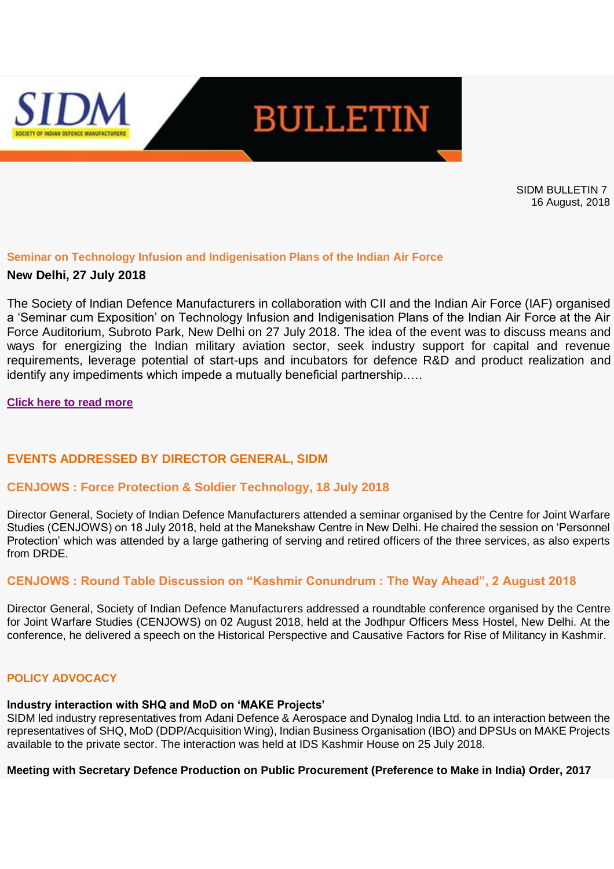

SIDM BULLETIN 7 16 August, 2018

#### **Seminar on Technology Infusion and Indigenisation Plans of the Indian Air Force**

## **New Delhi, 27 July 2018**

The Society of Indian Defence Manufacturers in collaboration with CII and the Indian Air Force (IAF) organised a 'Seminar cum Exposition' on Technology Infusion and Indigenisation Plans of the Indian Air Force at the Air Force Auditorium, Subroto Park, New Delhi on 27 July 2018. The idea of the event was to discuss means and ways for energizing the Indian military aviation sector, seek industry support for capital and revenue requirements, leverage potential of start-ups and incubators for defence R&D and product realization and identify any impediments which impede a mutually beneficial partnership.….

#### **[Click here to read more](https://apac01.safelinks.protection.outlook.com/?url=http%3A%2F%2Femaila.ciimails.in%2Fciis%2Fltimdt.php%3Fid%3DLR5UUgZSDgACVUpUCQoFUBg%3DU1ENUFRLX1RBRFxZXg90BgsNTF8P&data=02%7C01%7C%7C23581921cacc490ef3b308d603738d91%7Ce749ab1b73da4549a0cf1abb0ffbb817%7C0%7C0%7C636700192177344810&sdata=dCAKZOB1iFD6oMv5n6PmqW6h2YRi8mtqL%2BiWaIVxXL4%3D&reserved=0)**

## **EVENTS ADDRESSED BY DIRECTOR GENERAL, SIDM**

## **CENJOWS : Force Protection & Soldier Technology, 18 July 2018**

Director General, Society of Indian Defence Manufacturers attended a seminar organised by the Centre for Joint Warfare Studies (CENJOWS) on 18 July 2018, held at the Manekshaw Centre in New Delhi. He chaired the session on 'Personnel Protection' which was attended by a large gathering of serving and retired officers of the three services, as also experts from DRDE.

## **CENJOWS : Round Table Discussion on "Kashmir Conundrum : The Way Ahead", 2 August 2018**

Director General, Society of Indian Defence Manufacturers addressed a roundtable conference organised by the Centre for Joint Warfare Studies (CENJOWS) on 02 August 2018, held at the Jodhpur Officers Mess Hostel, New Delhi. At the conference, he delivered a speech on the Historical Perspective and Causative Factors for Rise of Militancy in Kashmir.

## **POLICY ADVOCACY**

#### **Industry interaction with SHQ and MoD on 'MAKE Projects'**

SIDM led industry representatives from Adani Defence & Aerospace and Dynalog India Ltd. to an interaction between the representatives of SHQ, MoD (DDP/Acquisition Wing), Indian Business Organisation (IBO) and DPSUs on MAKE Projects available to the private sector. The interaction was held at IDS Kashmir House on 25 July 2018.

#### **Meeting with Secretary Defence Production on Public Procurement (Preference to Make in India) Order, 2017**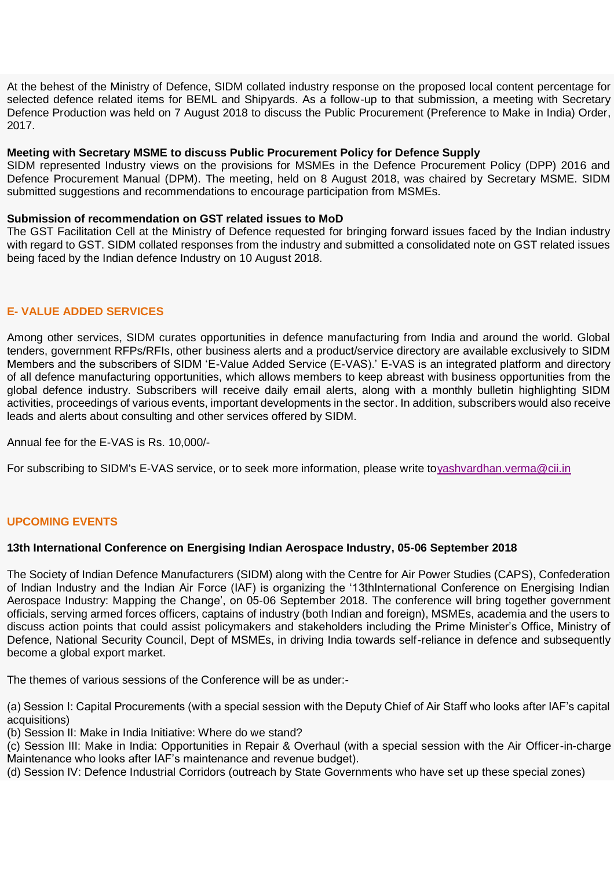At the behest of the Ministry of Defence, SIDM collated industry response on the proposed local content percentage for selected defence related items for BEML and Shipyards. As a follow-up to that submission, a meeting with Secretary Defence Production was held on 7 August 2018 to discuss the Public Procurement (Preference to Make in India) Order, 2017.

#### **Meeting with Secretary MSME to discuss Public Procurement Policy for Defence Supply**

SIDM represented Industry views on the provisions for MSMEs in the Defence Procurement Policy (DPP) 2016 and Defence Procurement Manual (DPM). The meeting, held on 8 August 2018, was chaired by Secretary MSME. SIDM submitted suggestions and recommendations to encourage participation from MSMEs.

#### **Submission of recommendation on GST related issues to MoD**

The GST Facilitation Cell at the Ministry of Defence requested for bringing forward issues faced by the Indian industry with regard to GST. SIDM collated responses from the industry and submitted a consolidated note on GST related issues being faced by the Indian defence Industry on 10 August 2018.

## **E- VALUE ADDED SERVICES**

Among other services, SIDM curates opportunities in defence manufacturing from India and around the world. Global tenders, government RFPs/RFIs, other business alerts and a product/service directory are available exclusively to SIDM Members and the subscribers of SIDM 'E-Value Added Service (E-VAS).' E-VAS is an integrated platform and directory of all defence manufacturing opportunities, which allows members to keep abreast with business opportunities from the global defence industry. Subscribers will receive daily email alerts, along with a monthly bulletin highlighting SIDM activities, proceedings of various events, important developments in the sector. In addition, subscribers would also receive leads and alerts about consulting and other services offered by SIDM.

Annual fee for the E-VAS is Rs. 10,000/-

For subscribing to SIDM's E-VAS service, or to seek more information, please write t[oyashvardhan.verma@cii.in](mailto:yashvardhan.verma@cii.in)

## **UPCOMING EVENTS**

# **13th International Conference on Energising Indian Aerospace Industry, 05-06 September 2018**

The Society of Indian Defence Manufacturers (SIDM) along with the Centre for Air Power Studies (CAPS), Confederation of Indian Industry and the Indian Air Force (IAF) is organizing the '13thInternational Conference on Energising Indian Aerospace Industry: Mapping the Change', on 05-06 September 2018. The conference will bring together government officials, serving armed forces officers, captains of industry (both Indian and foreign), MSMEs, academia and the users to discuss action points that could assist policymakers and stakeholders including the Prime Minister's Office, Ministry of Defence, National Security Council, Dept of MSMEs, in driving India towards self-reliance in defence and subsequently become a global export market.

The themes of various sessions of the Conference will be as under:-

(a) Session I: Capital Procurements (with a special session with the Deputy Chief of Air Staff who looks after IAF's capital acquisitions)

(b) Session II: Make in India Initiative: Where do we stand?

(c) Session III: Make in India: Opportunities in Repair & Overhaul (with a special session with the Air Officer-in-charge Maintenance who looks after IAF's maintenance and revenue budget).

(d) Session IV: Defence Industrial Corridors (outreach by State Governments who have set up these special zones)